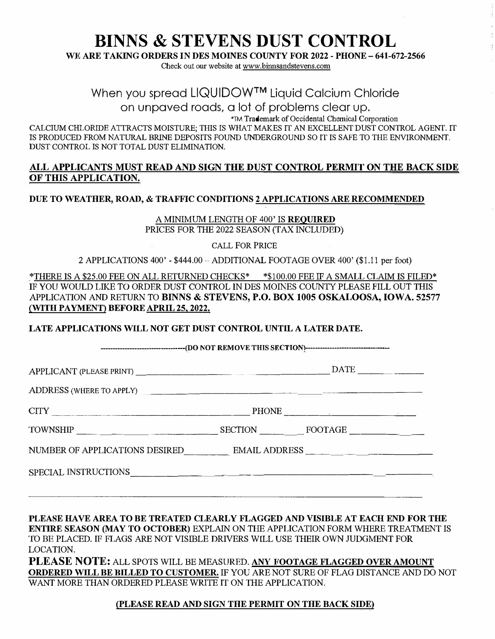# **BINNS & STEVENS DUST CONTROL**

**WE ARE TAKING ORDERS IN DES MOINES COUNTY FOR 2022 - PHONE- 641-672-2566** 

Check out our website at www.binnsandstevens.com

### When you spread LIQUIDOW™ Liquid Calcium Chloride

on unpaved roads, a lot of problems clear up.

'TM Trademark ofOccidental Chemical Corporation

CALCIUM CHLORIDE ATTRACTS MOISTURE; THIS IS WHAT MAKES IT AN EXCELLENT DUST CONTROL AGENT. IT IS PRODUCED FROM NATURAL BRINE DEPOSITS FOUND UNDERGROUND SO IT IS SAFE TO THE ENVIRONMENT. DUST CONTROL IS NOT TOTAL DUST ELIMINATION.

#### **ALL APPLICANTS MUST READ AND SIGN THE DUST CONTROL PERMIT ON THE BACK SIDE OF THIS APPLICATION.**

#### **DUE TO WEATHER, ROAD,** & **TRAFFIC CONDITIONS 2 APPLICATIONS ARE RECOMMENDED**

A MINIMUM LENGTH OF 400' IS **REQUIRED**  PRICES FOR THE 2022 SEASON (TAX INCLUDED)

CALL FOR PRICE

2 APPLICATIONS 400' - \$444.00 -ADDITIONAL FOOTAGE OVER 400' (\$1.11 per foot)

\*THERE IS A \$25.00 FEE ON ALL RETURNED CHECKS\* \*\$100.00 FEE IF A SMALL CLAIM IS FILED\* IF YOU WOULD LIKE TO ORDER DUST CONTROL IN DES MOINES COUNTY PLEASE FILL OUT THIS APPLICATION AND RETURN TO **BINNS** & **STEVENS, P.O. BOX 1005 OSKALOOSA, IOWA. 52577** *(WITH* **PAYMENT) BEFORE APRIL 25, 2022.**

**LATE APPLICATIONS WILL NOT GET DUST CONTROL UNTIL A LATER DATE.** 

--------,(DO NOT REMOVE THIS SECTIONl--------

APPLICANT (PLEASE PRINT) \_\_\_\_\_\_\_\_\_\_\_\_\_\_\_\_ DATE \_\_\_\_\_ \_

ADDRESS (WHERE TO APPLY) \_\_\_\_\_\_\_\_\_\_\_\_\_ \_\_\_\_\_\_\_ �

| $-$<br>◡ェ<br>-<br>and the control of the control of the control of the control of the control of<br>____<br>_____ | <b>DIRECT</b><br>$ -$ |
|-------------------------------------------------------------------------------------------------------------------|-----------------------|
|-------------------------------------------------------------------------------------------------------------------|-----------------------|

TOWNSHIP \_\_\_\_ \_\_\_\_\_\_\_ SECTION \_\_ \_ FOOTAGE \_\_\_\_\_ \_

NUMBER OF APPLICATIONS DESIRED\_\_\_\_ EMAIL ADDRESS \_\_ \_ \_\_\_\_ \_

SPECIAL INSTRUCTIONS, \_\_\_\_\_\_\_ � ----------------

**PLEASE HAVE AREA TO BE TREATED CLEARLY FLAGGED AND VISIBLE AT EACH END FOR THE ENTIRE SEASON (MAY TO OCTOBER)** EXPLAIN ON THE APPLICATION FORM WHERE TREATMENT IS TO BE PLACED. IF FLAGS ARE NOT VISIBLE DRIVERS WILL USE THEIR OWN JUDGMENT FOR LOCATION.

**PLEASE NOTE:** ALL SPOTS WILL BE MEASURED. **ANY FOOTAGE FLAGGED OVER AMOUNT ORDERED WILL BE BILLED TO CUSTOMER.** IF YOU ARE NOT SURE OF FLAG DISTANCE AND DO NOT WANT MORE THAN ORDERED PLEASE WRITE IT ON THE APPLICATION.

#### **{PLEASE READ AND SIGN THE PERMIT ON THE BACK SIDE)**